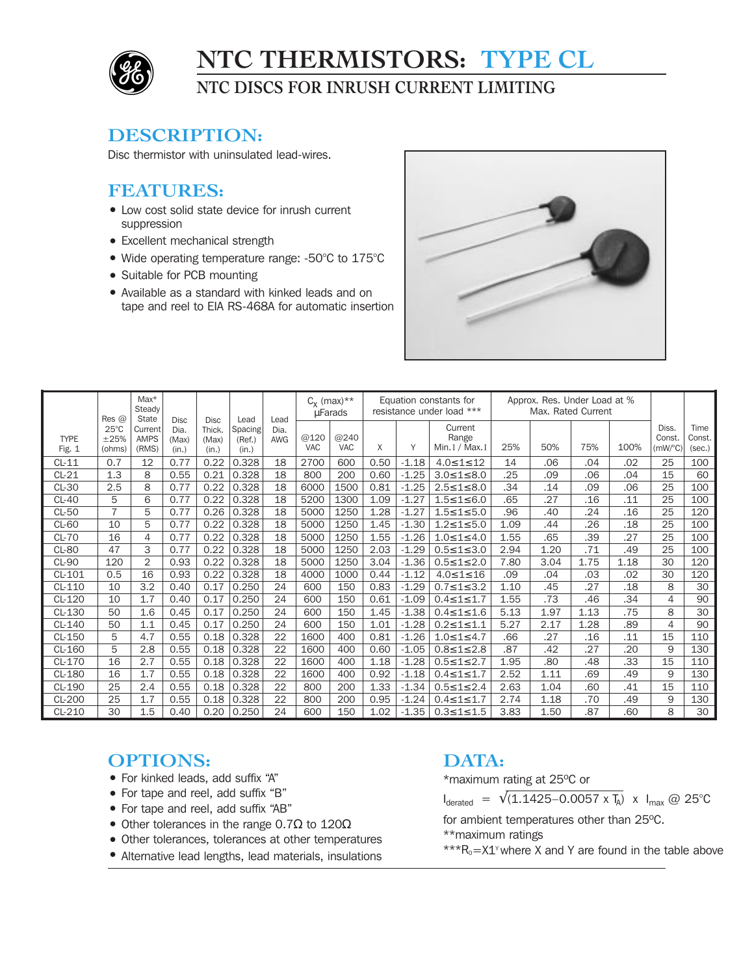

# **NTC THERMISTORS: TYPE CL**

**NTC DISCS FOR INRUSH CURRENT LIMITING**

### **DESCRIPTION:**

Disc thermistor with uninsulated lead-wires.

## **FEATURES:**

- Low cost solid state device for inrush current suppression
- Excellent mechanical strength
- Wide operating temperature range: -50°C to 175°C
- Suitable for PCB mounting
- Available as a standard with kinked leads and on tape and reel to EIA RS-468A for automatic insertion



|                       | $Res$ @                          | $Max*$<br>Steady<br>State       | <b>Disc</b><br>Dia.<br>(Max)<br>(in.) | <b>Disc</b><br>Thick.<br>(Max)<br>(in.) | Lead<br>Spacing<br>(Ref.)<br>(in.) | Lead<br>Dia.<br>AWG | $C_x$ (max)**<br>uFarads |                    | Equation constants for<br>resistance under load *** |         |                                     | Approx. Res. Under Load at %<br>Max. Rated Current |      |      |      |                                         |                          |
|-----------------------|----------------------------------|---------------------------------|---------------------------------------|-----------------------------------------|------------------------------------|---------------------|--------------------------|--------------------|-----------------------------------------------------|---------|-------------------------------------|----------------------------------------------------|------|------|------|-----------------------------------------|--------------------------|
| <b>TYPE</b><br>Fig. 1 | $25^{\circ}$ C<br>±25%<br>(ohms) | Current<br><b>AMPS</b><br>(RMS) |                                       |                                         |                                    |                     | @120<br><b>VAC</b>       | @240<br><b>VAC</b> | X                                                   | Y       | Current<br>Range<br>Min. I / Max. I | 25%                                                | 50%  | 75%  | 100% | Diss.<br>Const.<br>$(mW$ <sup>o</sup> C | Time<br>Const.<br>(sec.) |
| $CL-11$               | 0.7                              | 12                              | 0.77                                  | 0.22                                    | 0.328                              | 18                  | 2700                     | 600                | 0.50                                                | $-1.18$ | $4.0 \le 1 \le 12$                  | 14                                                 | .06  | .04  | .02  | 25                                      | 100                      |
| $CL-21$               | 1.3                              | 8                               | 0.55                                  | 0.21                                    | 0.328                              | 18                  | 800                      | 200                | 0.60                                                | $-1.25$ | $3.0 \le 1 \le 8.0$                 | .25                                                | .09  | .06  | .04  | 15                                      | 60                       |
| $CL-30$               | 2.5                              | 8                               | 0.77                                  | 0.22                                    | 0.328                              | 18                  | 6000                     | 1500               | 0.81                                                | $-1.25$ | $2.5 \leq 1 \leq 8.0$               | .34                                                | .14  | .09  | .06  | 25                                      | 100                      |
| $CL-40$               | 5                                | 6                               | 0.77                                  | 0.22                                    | 0.328                              | 18                  | 5200                     | 1300               | 1.09                                                | $-1.27$ | $1.5 \leq 1 \leq 6.0$               | .65                                                | .27  | .16  | .11  | 25                                      | 100                      |
| $CL-50$               | $\overline{7}$                   | 5                               | 0.77                                  | 0.26                                    | 0.328                              | 18                  | 5000                     | 1250               | 1.28                                                | $-1.27$ | $1.5 \leq 1 \leq 5.0$               | .96                                                | .40  | .24  | .16  | 25                                      | 120                      |
| <b>CL-60</b>          | 10                               | 5                               | 0.77                                  | 0.22                                    | 0.328                              | 18                  | 5000                     | 1250               | 1.45                                                | $-1.30$ | $1.2 \leq 1 \leq 5.0$               | 1.09                                               | .44  | .26  | .18  | 25                                      | 100                      |
| <b>CL-70</b>          | 16                               | 4                               | 0.77                                  | 0.22                                    | 0.328                              | 18                  | 5000                     | 1250               | 1.55                                                | $-1.26$ | $1.0 \leq 1 \leq 4.0$               | 1.55                                               | .65  | .39  | .27  | 25                                      | 100                      |
| <b>CL-80</b>          | 47                               | 3                               | 0.77                                  | 0.22                                    | 0.328                              | 18                  | 5000                     | 1250               | 2.03                                                | $-1.29$ | $0.5 \le 1 \le 3.0$                 | 2.94                                               | 1.20 | .71  | .49  | 25                                      | 100                      |
| <b>CL-90</b>          | 120                              | $\overline{2}$                  | 0.93                                  | 0.22                                    | 0.328                              | 18                  | 5000                     | 1250               | 3.04                                                | $-1.36$ | $0.5 \leq 1 \leq 2.0$               | 7.80                                               | 3.04 | 1.75 | 1.18 | 30                                      | 120                      |
| CL-101                | 0.5                              | 16                              | 0.93                                  | 0.22                                    | 0.328                              | 18                  | 4000                     | 1000               | 0.44                                                | $-1.12$ | $4.0 \le 1 \le 16$                  | .09                                                | .04  | .03  | .02  | 30                                      | 120                      |
| CL-110                | 10                               | 3.2                             | 0.40                                  | 0.17                                    | 0.250                              | 24                  | 600                      | 150                | 0.83                                                | $-1.29$ | $0.7 \le 1 \le 3.2$                 | 1.10                                               | .45  | .27  | .18  | 8                                       | 30                       |
| CL-120                | 10                               | 1.7                             | 0.40                                  | 0.17                                    | 0.250                              | 24                  | 600                      | 150                | 0.61                                                | $-1.09$ | $0.4 \leq 1 \leq 1.7$               | 1.55                                               | .73  | .46  | .34  | $\overline{4}$                          | 90                       |
| CL-130                | 50                               | 1.6                             | 0.45                                  | 0.17                                    | 0.250                              | 24                  | 600                      | 150                | 1.45                                                | $-1.38$ | $0.4 \le 1 \le 1.6$                 | 5.13                                               | 1.97 | 1.13 | .75  | 8                                       | 30                       |
| CL-140                | 50                               | 1.1                             | 0.45                                  | 0.17                                    | 0.250                              | 24                  | 600                      | 150                | 1.01                                                | $-1.28$ | $0.2 \leq 1 \leq 1.1$               | 5.27                                               | 2.17 | 1.28 | .89  | 4                                       | 90                       |
| CL-150                | 5                                | 4.7                             | 0.55                                  | 0.18                                    | 0.328                              | 22                  | 1600                     | 400                | 0.81                                                | $-1.26$ | $1.0 \leq 1 \leq 4.7$               | .66                                                | .27  | .16  | .11  | 15                                      | 110                      |
| CL-160                | 5                                | 2.8                             | 0.55                                  | 0.18                                    | 0.328                              | 22                  | 1600                     | 400                | 0.60                                                | $-1.05$ | $0.8 \le 1 \le 2.8$                 | .87                                                | .42  | .27  | .20  | 9                                       | 130                      |
| CL-170                | 16                               | 2.7                             | 0.55                                  | 0.18                                    | 0.328                              | 22                  | 1600                     | 400                | 1.18                                                | $-1.28$ | $0.5 \leq 1 \leq 2.7$               | 1.95                                               | .80  | .48  | .33  | 15                                      | 110                      |
| CL-180                | 16                               | 1.7                             | 0.55                                  | 0.18                                    | 0.328                              | 22                  | 1600                     | 400                | 0.92                                                | $-1.18$ | $0.4 \leq 1 \leq 1.7$               | 2.52                                               | 1.11 | .69  | .49  | 9                                       | 130                      |
| CL-190                | 25                               | 2.4                             | 0.55                                  | 0.18                                    | 0.328                              | 22                  | 800                      | 200                | 1.33                                                | $-1.34$ | $0.5 \le 1 \le 2.4$                 | 2.63                                               | 1.04 | .60  | .41  | 15                                      | 110                      |
| CL-200                | 25                               | 1.7                             | 0.55                                  | 0.18                                    | 0.328                              | 22                  | 800                      | 200                | 0.95                                                | $-1.24$ | $0.4 \leq 1 \leq 1.7$               | 2.74                                               | 1.18 | .70  | .49  | 9                                       | 130                      |
| $CL-210$              | 30                               | 1.5                             | 0.40                                  | 0.20                                    | 0.250                              | 24                  | 600                      | 150                | 1.02                                                | $-1.35$ | $0.3 \le 1 \le 1.5$                 | 3.83                                               | 1.50 | .87  | .60  | 8                                       | 30                       |

### **OPTIONS:**

- For kinked leads, add suffix "A"
- For tape and reel, add suffix "B"
- For tape and reel, add suffix "AB"
- Other tolerances in the range 0.7 $\Omega$  to 120 $\Omega$
- Other tolerances, tolerances at other temperatures
- Alternative lead lengths, lead materials, insulations

#### **DATA:**

\*maximum rating at 25ºC or  $I_{\text{derated}} = \sqrt{(1.1425 - 0.0057 \times T_A)} \times I_{\text{max}}$  @ 25°C

for ambient temperatures other than 25ºC.

\*\*maximum ratings

\*\*\* $R_0 = X1^{\gamma}$  where X and Y are found in the table above